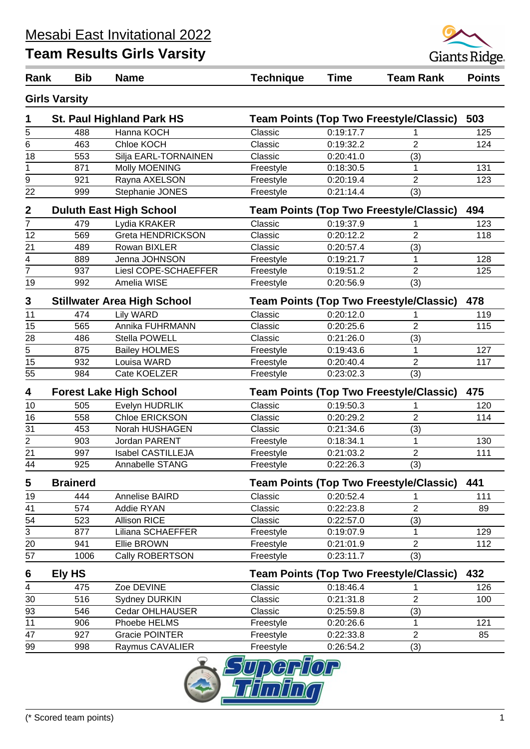

| Rank                    | <b>Bib</b>           | <b>Name</b>                        | <b>Technique</b> | <b>Time</b> | <b>Team Rank</b>                               | <b>Points</b> |
|-------------------------|----------------------|------------------------------------|------------------|-------------|------------------------------------------------|---------------|
|                         | <b>Girls Varsity</b> |                                    |                  |             |                                                |               |
| 1                       |                      | <b>St. Paul Highland Park HS</b>   |                  |             | <b>Team Points (Top Two Freestyle/Classic)</b> | 503           |
| 5                       | 488                  | Hanna KOCH                         | Classic          | 0:19:17.7   |                                                | 125           |
| $\overline{6}$          | 463                  | Chloe KOCH                         | Classic          | 0:19:32.2   | $\overline{2}$                                 | 124           |
| 18                      | 553                  | Silja EARL-TORNAINEN               | Classic          | 0:20:41.0   | (3)                                            |               |
| 1                       | 871                  | Molly MOENING                      | Freestyle        | 0:18:30.5   | 1                                              | 131           |
| 9                       | 921                  | Rayna AXELSON                      | Freestyle        | 0:20:19.4   | $\overline{2}$                                 | 123           |
| 22                      | 999                  | Stephanie JONES                    | Freestyle        | 0:21:14.4   | (3)                                            |               |
| $\mathbf 2$             |                      | <b>Duluth East High School</b>     |                  |             | <b>Team Points (Top Two Freestyle/Classic)</b> | 494           |
| $\overline{7}$          | 479                  | Lydia KRAKER                       | Classic          | 0:19:37.9   |                                                | 123           |
| 12                      | 569                  | Greta HENDRICKSON                  | Classic          | 0:20:12.2   | $\overline{2}$                                 | 118           |
| 21                      | 489                  | Rowan BIXLER                       | Classic          | 0:20:57.4   | (3)                                            |               |
| 4                       | 889                  | Jenna JOHNSON                      | Freestyle        | 0:19:21.7   | 1                                              | 128           |
| $\overline{7}$          | 937                  | Liesl COPE-SCHAEFFER               | Freestyle        | 0:19:51.2   | $\overline{2}$                                 | 125           |
| 19                      | 992                  | Amelia WISE                        | Freestyle        | 0:20:56.9   | (3)                                            |               |
| 3                       |                      | <b>Stillwater Area High School</b> |                  |             | <b>Team Points (Top Two Freestyle/Classic)</b> | 478           |
| 11                      | 474                  | <b>Lily WARD</b>                   | Classic          | 0:20:12.0   |                                                | 119           |
| 15                      | 565                  | Annika FUHRMANN                    | Classic          | 0:20:25.6   | $\overline{2}$                                 | 115           |
| 28                      | 486                  | Stella POWELL                      | Classic          | 0:21:26.0   | (3)                                            |               |
| $\overline{5}$          | 875                  | <b>Bailey HOLMES</b>               | Freestyle        | 0:19:43.6   | 1                                              | 127           |
| 15                      | 932                  | Louisa WARD                        | Freestyle        | 0:20:40.4   | $\overline{2}$                                 | 117           |
| 55                      | 984                  | Cate KOELZER                       | Freestyle        | 0:23:02.3   | (3)                                            |               |
| 4                       |                      | <b>Forest Lake High School</b>     |                  |             | <b>Team Points (Top Two Freestyle/Classic)</b> | 475           |
| 10                      | 505                  | Evelyn HUDRLIK                     | Classic          | 0:19:50.3   |                                                | 120           |
| 16                      | 558                  | Chloe ERICKSON                     | Classic          | 0:20:29.2   | $\overline{2}$                                 | 114           |
| 31                      | 453                  | Norah HUSHAGEN                     | Classic          | 0:21:34.6   | (3)                                            |               |
| $\overline{\mathbf{c}}$ | 903                  | Jordan PARENT                      | Freestyle        | 0:18:34.1   | $\mathbf 1$                                    | 130           |
| 21                      | 997                  | <b>Isabel CASTILLEJA</b>           | Freestyle        | 0:21:03.2   | $\overline{2}$                                 | 111           |
| 44                      | 925                  | Annabelle STANG                    | Freestyle        | 0:22:26.3   | (3)                                            |               |
| 5                       | <b>Brainerd</b>      |                                    |                  |             | <b>Team Points (Top Two Freestyle/Classic)</b> | 441           |
| 19                      | 444                  | Annelise BAIRD                     | Classic          | 0:20:52.4   |                                                | 111           |
| 41                      | 574                  | <b>Addie RYAN</b>                  | Classic          | 0:22:23.8   | 2                                              | 89            |
| 54                      | 523                  | <b>Allison RICE</b>                | Classic          | 0:22:57.0   | (3)                                            |               |
| 3                       | 877                  | Liliana SCHAEFFER                  | Freestyle        | 0:19:07.9   | 1                                              | 129           |
| 20                      | 941                  | Ellie BROWN                        | Freestyle        | 0:21:01.9   | $\boldsymbol{2}$                               | 112           |
| 57                      | 1006                 | Cally ROBERTSON                    | Freestyle        | 0:23:11.7   | (3)                                            |               |
| 6                       | Ely HS               |                                    |                  |             | <b>Team Points (Top Two Freestyle/Classic)</b> | 432           |
| 4                       | 475                  | Zoe DEVINE                         | Classic          | 0:18:46.4   | 1                                              | 126           |
| 30                      | 516                  | <b>Sydney DURKIN</b>               | Classic          | 0:21:31.8   | $\boldsymbol{2}$                               | 100           |
| 93                      | 546                  | Cedar OHLHAUSER                    | Classic          | 0:25:59.8   | (3)                                            |               |
| 11                      | 906                  | Phoebe HELMS                       | Freestyle        | 0:20:26.6   | $\mathbf 1$                                    | 121           |
| 47                      | 927                  | <b>Gracie POINTER</b>              | Freestyle        | 0:22:33.8   | $\overline{2}$                                 | 85            |
| 99                      | 998                  | Raymus CAVALIER                    | Freestyle        | 0:26:54.2   | (3)                                            |               |
|                         |                      |                                    | $\Box$           |             |                                                |               |

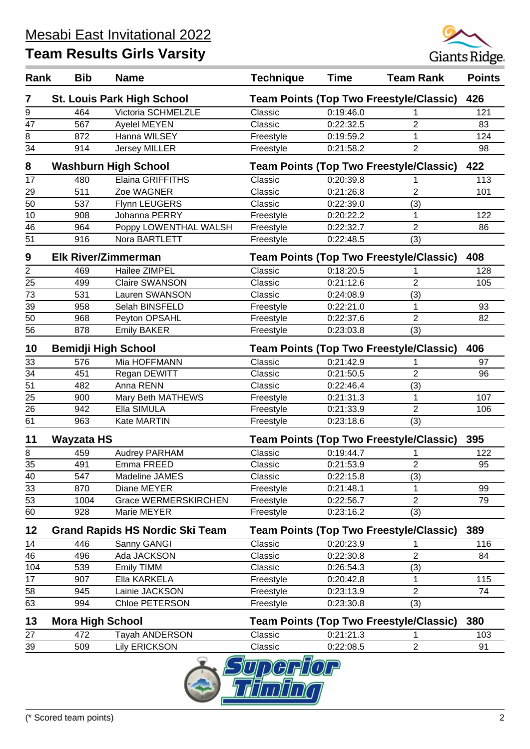

| Rank           | <b>Bib</b>                 | <b>Name</b>                            | <b>Technique</b>                               | <b>Time</b>            | <b>Team Rank</b>                               | <b>Points</b> |
|----------------|----------------------------|----------------------------------------|------------------------------------------------|------------------------|------------------------------------------------|---------------|
| 7              |                            | <b>St. Louis Park High School</b>      |                                                |                        | <b>Team Points (Top Two Freestyle/Classic)</b> | 426           |
| 9              | 464                        | Victoria SCHMELZLE                     | Classic                                        | 0:19:46.0              |                                                | 121           |
| 47             | 567                        | Ayelel MEYEN                           | Classic                                        | 0:22:32.5              | 2                                              | 83            |
| 8              | 872                        | Hanna WILSEY                           | Freestyle                                      | 0:19:59.2              | 1                                              | 124           |
| 34             | 914                        | <b>Jersey MILLER</b>                   | Freestyle                                      | 0:21:58.2              | 2                                              | 98            |
| 8              |                            | <b>Washburn High School</b>            |                                                |                        | <b>Team Points (Top Two Freestyle/Classic)</b> | 422           |
| 17             | 480                        | Elaina GRIFFITHS                       | Classic                                        | 0:20:39.8              |                                                | 113           |
| 29             | 511                        | Zoe WAGNER                             | Classic                                        | 0:21:26.8              | $\overline{2}$                                 | 101           |
| 50             | 537                        | Flynn LEUGERS                          | Classic                                        | 0:22:39.0              | (3)                                            |               |
| 10             | 908                        | Johanna PERRY                          | Freestyle                                      | 0:20:22.2              | 1                                              | 122           |
| 46             | 964                        | Poppy LOWENTHAL WALSH                  | Freestyle                                      | 0:22:32.7              | $\overline{2}$                                 | 86            |
| 51             | 916                        | Nora BARTLETT                          | Freestyle                                      | 0:22:48.5              | (3)                                            |               |
| 9              | <b>Elk River/Zimmerman</b> |                                        |                                                |                        | <b>Team Points (Top Two Freestyle/Classic)</b> | 408           |
| $\overline{2}$ | 469                        | Hailee ZIMPEL                          | Classic                                        | 0:18:20.5              |                                                | 128           |
| 25             | 499                        | <b>Claire SWANSON</b>                  | Classic                                        | 0:21:12.6              | $\overline{2}$                                 | 105           |
| 73             | 531                        | Lauren SWANSON                         | Classic                                        | 0:24:08.9              | (3)                                            |               |
| 39             | 958                        | Selah BINSFELD                         | Freestyle                                      | 0:22:21.0              | 1                                              | 93            |
| 50             | 968                        | Peyton OPSAHL                          | Freestyle                                      | 0:22:37.6              | $\overline{2}$                                 | 82            |
| 56             | 878                        | <b>Emily BAKER</b>                     | Freestyle                                      | 0:23:03.8              | (3)                                            |               |
| 10             |                            | <b>Bemidji High School</b>             | <b>Team Points (Top Two Freestyle/Classic)</b> |                        |                                                | 406           |
| 33             | 576                        | Mia HOFFMANN                           | Classic                                        | 0:21:42.9              |                                                | 97            |
| 34             | 451                        | Regan DEWITT                           | Classic                                        | 0:21:50.5              | $\overline{2}$                                 | 96            |
| 51             | 482                        | Anna RENN                              | Classic                                        | 0:22:46.4              | (3)                                            |               |
| 25             | 900                        | Mary Beth MATHEWS                      | Freestyle                                      | 0:21:31.3              | 1                                              | 107           |
| 26             | 942                        | Ella SIMULA                            | Freestyle                                      | 0:21:33.9              | $\overline{2}$                                 | 106           |
| 61             | 963                        | Kate MARTIN                            | Freestyle                                      | 0:23:18.6              | (3)                                            |               |
| 11             | Wayzata HS                 |                                        | <b>Team Points (Top Two Freestyle/Classic)</b> |                        |                                                | 395           |
| 8              | 459                        | Audrey PARHAM                          | Classic                                        | $0:19:44.\overline{7}$ |                                                | 122           |
| 35             | 491                        | Emma FREED                             | Classic                                        | 0:21:53.9              | 2                                              | 95            |
| 40             | 547                        | Madeline JAMES                         | Classic                                        | 0:22:15.8              | (3)                                            |               |
| 33             | 870                        | Diane MEYER                            | Freestyle                                      | 0:21:48.1              | 1                                              | 99            |
| 53             | 1004                       | <b>Grace WERMERSKIRCHEN</b>            | Freestyle                                      | 0:22:56.7              | $\overline{2}$                                 | 79            |
| 60             | 928                        | Marie MEYER                            | Freestyle                                      | 0:23:16.2              | (3)                                            |               |
| 12             |                            | <b>Grand Rapids HS Nordic Ski Team</b> |                                                |                        | <b>Team Points (Top Two Freestyle/Classic)</b> | 389           |
| 14             | 446                        | Sanny GANGI                            | Classic                                        | 0:20:23.9              |                                                | 116           |
| 46             | 496                        | Ada JACKSON                            | Classic                                        | 0:22:30.8              | $\overline{2}$                                 | 84            |
| 104            | 539                        | <b>Emily TIMM</b>                      | Classic                                        | 0:26:54.3              | (3)                                            |               |
| 17             | 907                        | Ella KARKELA                           | Freestyle                                      | 0:20:42.8              | 1                                              | 115           |
| 58             | 945                        | Lainie JACKSON                         | Freestyle                                      | 0:23:13.9              | $\overline{2}$                                 | 74            |
| 63             | 994                        | Chloe PETERSON                         | Freestyle                                      | 0:23:30.8              | (3)                                            |               |
| 13             | <b>Mora High School</b>    |                                        |                                                |                        | <b>Team Points (Top Two Freestyle/Classic)</b> | 380           |
| 27             | 472                        | <b>Tayah ANDERSON</b>                  | Classic                                        | 0:21:21.3              | 1                                              | 103           |
| 39             | 509                        | <b>Lily ERICKSON</b>                   | Classic                                        | 0:22:08.5              | $\overline{2}$                                 | 91            |
|                |                            | $\bigcirc$                             | о.                                             |                        |                                                |               |

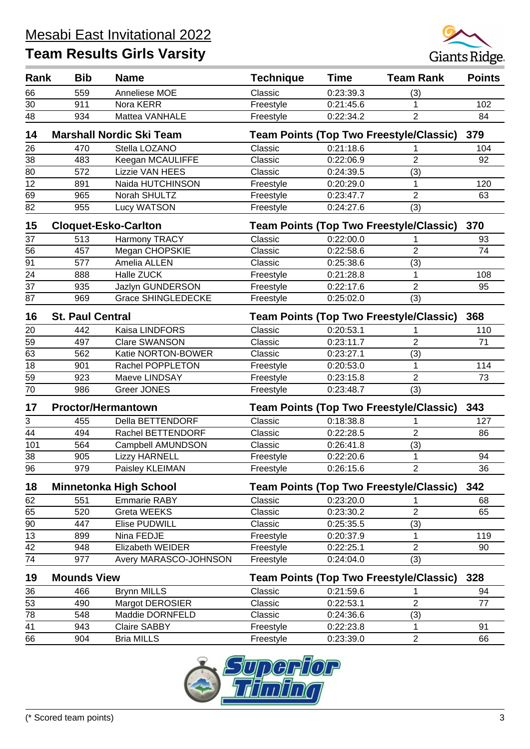#### Mesabi East Invitational 2022



| Rank | <b>Bib</b>              | <b>Name</b>                     | <b>Technique</b> | <b>Time</b> | <b>Team Rank</b>                               | <b>Points</b> |
|------|-------------------------|---------------------------------|------------------|-------------|------------------------------------------------|---------------|
| 66   | 559                     | Anneliese MOE                   | Classic          | 0:23:39.3   | (3)                                            |               |
| 30   | 911                     | Nora KERR                       | Freestyle        | 0:21:45.6   | 1                                              | 102           |
| 48   | 934                     | Mattea VANHALE                  | Freestyle        | 0:22:34.2   | $\overline{2}$                                 | 84            |
| 14   |                         | <b>Marshall Nordic Ski Team</b> |                  |             | <b>Team Points (Top Two Freestyle/Classic)</b> | 379           |
| 26   | 470                     | Stella LOZANO                   | Classic          | 0:21:18.6   |                                                | 104           |
| 38   | 483                     | Keegan MCAULIFFE                | Classic          | 0:22:06.9   | $\overline{2}$                                 | 92            |
| 80   | 572                     | Lizzie VAN HEES                 | Classic          | 0:24:39.5   | (3)                                            |               |
| 12   | 891                     | Naida HUTCHINSON                | Freestyle        | 0:20:29.0   | 1                                              | 120           |
| 69   | 965                     | Norah SHULTZ                    | Freestyle        | 0:23:47.7   | $\overline{2}$                                 | 63            |
| 82   | 955                     | Lucy WATSON                     | Freestyle        | 0:24:27.6   | (3)                                            |               |
| 15   |                         | <b>Cloquet-Esko-Carlton</b>     |                  |             | <b>Team Points (Top Two Freestyle/Classic)</b> | 370           |
| 37   | 513                     | Harmony TRACY                   | Classic          | 0:22:00.0   |                                                | 93            |
| 56   | 457                     | Megan CHOPSKIE                  | Classic          | 0:22:58.6   | $\overline{2}$                                 | 74            |
| 91   | 577                     | Amelia ALLEN                    | Classic          | 0:25:38.6   | (3)                                            |               |
| 24   | 888                     | Halle ZUCK                      | Freestyle        | 0:21:28.8   | 1                                              | 108           |
| 37   | 935                     | Jazlyn GUNDERSON                | Freestyle        | 0:22:17.6   | $\overline{2}$                                 | 95            |
| 87   | 969                     | <b>Grace SHINGLEDECKE</b>       | Freestyle        | 0:25:02.0   | (3)                                            |               |
| 16   | <b>St. Paul Central</b> |                                 |                  |             | <b>Team Points (Top Two Freestyle/Classic)</b> | 368           |
| 20   | 442                     | Kaisa LINDFORS                  | Classic          | 0:20:53.1   |                                                | 110           |
| 59   | 497                     | <b>Clare SWANSON</b>            | Classic          | 0:23:11.7   | $\overline{2}$                                 | 71            |
| 63   | 562                     | Katie NORTON-BOWER              | Classic          | 0:23:27.1   | (3)                                            |               |
| 18   | 901                     | Rachel POPPLETON                | Freestyle        | 0:20:53.0   | 1                                              | 114           |
| 59   | 923                     | Maeve LINDSAY                   | Freestyle        | 0:23:15.8   | $\overline{2}$                                 | 73            |
| 70   | 986                     | <b>Greer JONES</b>              | Freestyle        | 0:23:48.7   | (3)                                            |               |
| 17   |                         | <b>Proctor/Hermantown</b>       |                  |             | <b>Team Points (Top Two Freestyle/Classic)</b> | 343           |
| 3    | 455                     | Della BETTENDORF                | Classic          | 0:18:38.8   |                                                | 127           |
| 44   | 494                     | Rachel BETTENDORF               | Classic          | 0:22:28.5   | $\overline{2}$                                 | 86            |
| 101  | 564                     | Campbell AMUNDSON               | Classic          | 0:26:41.8   | (3)                                            |               |
| 38   | 905                     | <b>Lizzy HARNELL</b>            | Freestyle        | 0:22:20.6   | 1                                              | 94            |
| 96   | 979                     | Paisley KLEIMAN                 | Freestyle        | 0:26:15.6   | $\boldsymbol{2}$                               | 36            |
| 18   |                         | <b>Minnetonka High School</b>   |                  |             | <b>Team Points (Top Two Freestyle/Classic)</b> | 342           |
| 62   | 551                     | <b>Emmarie RABY</b>             | Classic          | 0:23:20.0   | 1                                              | 68            |
| 65   | 520                     | Greta WEEKS                     | Classic          | 0:23:30.2   | $\overline{2}$                                 | 65            |
| 90   | 447                     | Elise PUDWILL                   | Classic          | 0:25:35.5   | (3)                                            |               |
| 13   | 899                     | Nina FEDJE                      | Freestyle        | 0:20:37.9   | 1                                              | 119           |
| 42   | 948                     | Elizabeth WEIDER                | Freestyle        | 0:22:25.1   | $\overline{2}$                                 | 90            |
| 74   | 977                     | Avery MARASCO-JOHNSON           | Freestyle        | 0:24:04.0   | (3)                                            |               |
| 19   | <b>Mounds View</b>      |                                 |                  |             | <b>Team Points (Top Two Freestyle/Classic)</b> | 328           |
| 36   | 466                     | <b>Brynn MILLS</b>              | Classic          | 0:21:59.6   |                                                | 94            |
| 53   | 490                     | Margot DEROSIER                 | Classic          | 0:22:53.1   | $\overline{2}$                                 | 77            |
| 78   | 548                     | Maddie DORNFELD                 | Classic          | 0:24:36.6   | (3)                                            |               |
| 41   | 943                     | <b>Claire SABBY</b>             | Freestyle        | 0:22:23.8   | 1                                              | 91            |
| 66   | 904                     | <b>Bria MILLS</b>               | Freestyle        | 0:23:39.0   | $\overline{2}$                                 | 66            |

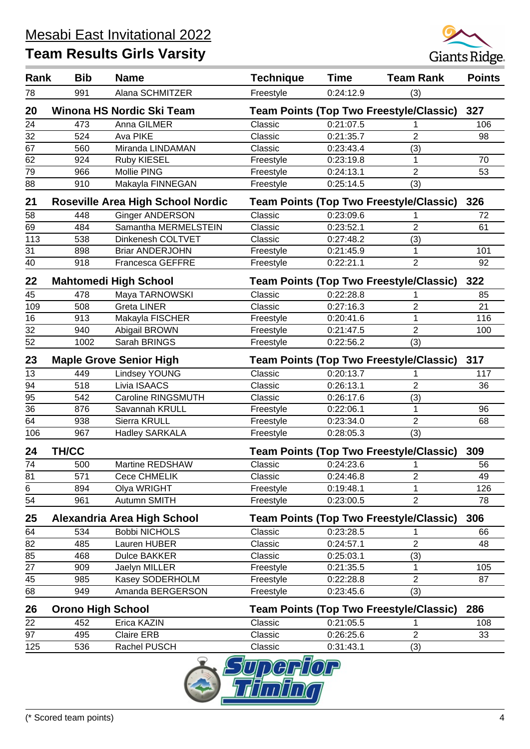

| Rank | <b>Bib</b>               | <b>Name</b>                              | <b>Technique</b> | <b>Time</b> | <b>Team Rank</b>                               | <b>Points</b> |
|------|--------------------------|------------------------------------------|------------------|-------------|------------------------------------------------|---------------|
| 78   | 991                      | Alana SCHMITZER                          | Freestyle        | 0:24:12.9   | (3)                                            |               |
| 20   |                          | Winona HS Nordic Ski Team                |                  |             | <b>Team Points (Top Two Freestyle/Classic)</b> | 327           |
| 24   | 473                      | Anna GILMER                              | Classic          | 0:21:07.5   |                                                | 106           |
| 32   | 524                      | Ava PIKE                                 | Classic          | 0:21:35.7   | $\overline{2}$                                 | 98            |
| 67   | 560                      | Miranda LINDAMAN                         | Classic          | 0:23:43.4   | (3)                                            |               |
| 62   | 924                      | Ruby KIESEL                              | Freestyle        | 0:23:19.8   | 1                                              | 70            |
| 79   | 966                      | Mollie PING                              | Freestyle        | 0:24:13.1   | $\overline{2}$                                 | 53            |
| 88   | 910                      | Makayla FINNEGAN                         | Freestyle        | 0:25:14.5   | (3)                                            |               |
| 21   |                          | <b>Roseville Area High School Nordic</b> |                  |             | <b>Team Points (Top Two Freestyle/Classic)</b> | 326           |
| 58   | 448                      | <b>Ginger ANDERSON</b>                   | Classic          | 0:23:09.6   |                                                | 72            |
| 69   | 484                      | Samantha MERMELSTEIN                     | Classic          | 0:23:52.1   | $\overline{2}$                                 | 61            |
| 113  | 538                      | Dinkenesh COLTVET                        | Classic          | 0:27:48.2   | (3)                                            |               |
| 31   | 898                      | <b>Briar ANDERJOHN</b>                   | Freestyle        | 0:21:45.9   | 1                                              | 101           |
| 40   | 918                      | <b>Francesca GEFFRE</b>                  | Freestyle        | 0:22:21.1   | 2                                              | 92            |
| 22   |                          | <b>Mahtomedi High School</b>             |                  |             | <b>Team Points (Top Two Freestyle/Classic)</b> | 322           |
| 45   | 478                      | Maya TARNOWSKI                           | Classic          | 0:22:28.8   |                                                | 85            |
| 109  | 508                      | <b>Greta LINER</b>                       | Classic          | 0:27:16.3   | $\overline{2}$                                 | 21            |
| 16   | 913                      | Makayla FISCHER                          | Freestyle        | 0:20:41.6   | 1                                              | 116           |
| 32   | 940                      | Abigail BROWN                            | Freestyle        | 0:21:47.5   | 2                                              | 100           |
| 52   | 1002                     | Sarah BRINGS                             | Freestyle        | 0:22:56.2   | (3)                                            |               |
| 23   |                          | <b>Maple Grove Senior High</b>           |                  |             | <b>Team Points (Top Two Freestyle/Classic)</b> | 317           |
| 13   | 449                      | <b>Lindsey YOUNG</b>                     | Classic          | 0:20:13.7   |                                                | 117           |
| 94   | 518                      | Livia ISAACS                             | Classic          | 0:26:13.1   | $\overline{2}$                                 | 36            |
| 95   | 542                      | Caroline RINGSMUTH                       | Classic          | 0:26:17.6   | (3)                                            |               |
| 36   | 876                      | Savannah KRULL                           | Freestyle        | 0:22:06.1   | 1                                              | 96            |
| 64   | 938                      | Sierra KRULL                             | Freestyle        | 0:23:34.0   | $\overline{2}$                                 | 68            |
| 106  | 967                      | <b>Hadley SARKALA</b>                    | Freestyle        | 0:28:05.3   | (3)                                            |               |
| 24   | <b>TH/CC</b>             |                                          |                  |             | <b>Team Points (Top Two Freestyle/Classic)</b> | 309           |
| 74   | 500                      | Martine REDSHAW                          | Classic          | 0:24:23.6   | $\mathbf{1}$                                   | 56            |
| 81   | 571                      | Cece CHMELIK                             | Classic          | 0:24:46.8   | 2                                              | 49            |
| 6    | 894                      | Olya WRIGHT                              | Freestyle        | 0:19:48.1   | 1                                              | 126           |
| 54   | 961                      | Autumn SMITH                             | Freestyle        | 0:23:00.5   | $\overline{2}$                                 | 78            |
| 25   |                          | Alexandria Area High School              |                  |             | <b>Team Points (Top Two Freestyle/Classic)</b> | 306           |
| 64   | 534                      | <b>Bobbi NICHOLS</b>                     | Classic          | 0:23:28.5   | 1                                              | 66            |
| 82   | 485                      | Lauren HUBER                             | Classic          | 0:24:57.1   | $\overline{2}$                                 | 48            |
| 85   | 468                      | <b>Dulce BAKKER</b>                      | Classic          | 0:25:03.1   | (3)                                            |               |
| 27   | 909                      | Jaelyn MILLER                            | Freestyle        | 0:21:35.5   | $\mathbf 1$                                    | 105           |
| 45   | 985                      | Kasey SODERHOLM                          | Freestyle        | 0:22:28.8   | $\overline{2}$                                 | 87            |
| 68   | 949                      | Amanda BERGERSON                         | Freestyle        | 0:23:45.6   | (3)                                            |               |
| 26   | <b>Orono High School</b> |                                          |                  |             | <b>Team Points (Top Two Freestyle/Classic)</b> | 286           |
| 22   | 452                      | Erica KAZIN                              | Classic          | 0:21:05.5   | 1                                              | 108           |
| 97   | 495                      | <b>Claire ERB</b>                        | Classic          | 0:26:25.6   | $\overline{2}$                                 | 33            |
| 125  | 536                      | Rachel PUSCH                             | Classic          | 0:31:43.1   | (3)                                            |               |

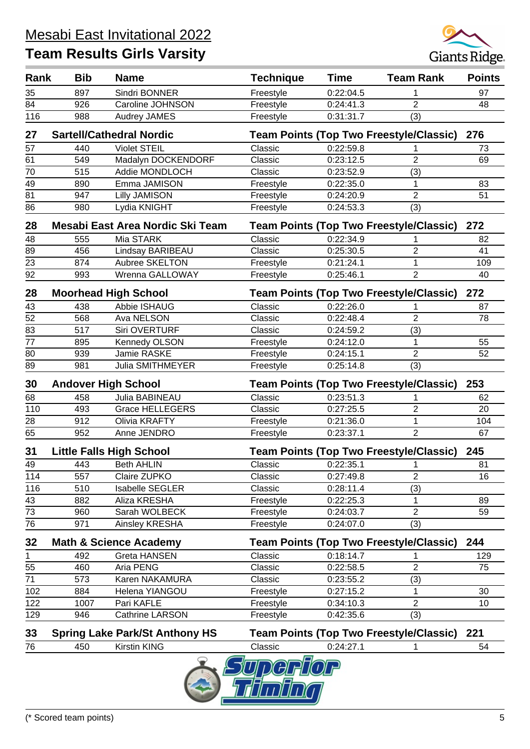

| Rank            | <b>Bib</b> | <b>Name</b>                              | <b>Technique</b> | <b>Time</b> | <b>Team Rank</b>                               | <b>Points</b> |
|-----------------|------------|------------------------------------------|------------------|-------------|------------------------------------------------|---------------|
| 35              | 897        | Sindri BONNER                            | Freestyle        | 0:22:04.5   |                                                | 97            |
| 84              | 926        | Caroline JOHNSON                         | Freestyle        | 0:24:41.3   | $\overline{2}$                                 | 48            |
| 116             | 988        | <b>Audrey JAMES</b>                      | Freestyle        | 0:31:31.7   | (3)                                            |               |
| 27              |            | <b>Sartell/Cathedral Nordic</b>          |                  |             | Team Points (Top Two Freestyle/Classic)        | 276           |
| 57              | 440        | <b>Violet STEIL</b>                      | Classic          | 0:22:59.8   |                                                | 73            |
| 61              | 549        | Madalyn DOCKENDORF                       | Classic          | 0:23:12.5   | 2                                              | 69            |
| 70              | 515        | Addie MONDLOCH                           | Classic          | 0:23:52.9   | (3)                                            |               |
| 49              | 890        | Emma JAMISON                             | Freestyle        | 0:22:35.0   | 1                                              | 83            |
| 81              | 947        | <b>Lilly JAMISON</b>                     | Freestyle        | 0:24:20.9   | $\overline{2}$                                 | 51            |
| 86              | 980        | Lydia KNIGHT                             | Freestyle        | 0:24:53.3   | (3)                                            |               |
| 28              |            | Mesabi East Area Nordic Ski Team         |                  |             | <b>Team Points (Top Two Freestyle/Classic)</b> | 272           |
| 48              | 555        | Mia STARK                                | Classic          | 0:22:34.9   | 1                                              | 82            |
| 89              | 456        | Lindsay BARIBEAU                         | Classic          | 0:25:30.5   | 2                                              | 41            |
| 23              | 874        | Aubree SKELTON                           | Freestyle        | 0:21:24.1   | 1                                              | 109           |
| 92              | 993        | Wrenna GALLOWAY                          | Freestyle        | 0:25:46.1   | $\overline{2}$                                 | 40            |
| 28              |            | <b>Moorhead High School</b>              |                  |             | Team Points (Top Two Freestyle/Classic) 272    |               |
| 43              | 438        | Abbie ISHAUG                             | Classic          | 0:22:26.0   |                                                | 87            |
| 52              | 568        | Ava NELSON                               | Classic          | 0:22:48.4   | $\overline{2}$                                 | 78            |
| 83              | 517        | Siri OVERTURF                            | Classic          | 0:24:59.2   | (3)                                            |               |
| 77              | 895        | <b>Kennedy OLSON</b>                     | Freestyle        | 0:24:12.0   | 1                                              | 55            |
| 80              | 939        | Jamie RASKE                              | Freestyle        | 0:24:15.1   | $\overline{2}$                                 | 52            |
| 89              | 981        | <b>Julia SMITHMEYER</b>                  | Freestyle        | 0:25:14.8   | (3)                                            |               |
|                 |            |                                          |                  |             |                                                |               |
| 30              |            | <b>Andover High School</b>               |                  |             | <b>Team Points (Top Two Freestyle/Classic)</b> | 253           |
| 68<br>110       | 458<br>493 | Julia BABINEAU<br><b>Grace HELLEGERS</b> | Classic          | 0:23:51.3   | 1<br>$\overline{2}$                            | 62<br>20      |
|                 | 912        |                                          | Classic          | 0:27:25.5   |                                                | 104           |
| 28              |            | Olivia KRAFTY                            | Freestyle        | 0:21:36.0   | 1                                              |               |
| 65              | 952        | Anne JENDRO                              | Freestyle        | 0:23:37.1   | $\overline{2}$                                 | 67            |
| 31              |            | <b>Little Falls High School</b>          |                  |             | <b>Team Points (Top Two Freestyle/Classic)</b> | 245           |
| 49              | 443        | <b>Beth AHLIN</b>                        | Classic          | 0:22:35.1   | 1                                              | 81            |
| 114             | 557        | Claire ZUPKO                             | Classic          | 0:27:49.8   | $\overline{2}$                                 | 16            |
| 116             | 510        | <b>Isabelle SEGLER</b>                   | Classic          | 0:28:11.4   | (3)                                            |               |
| 43              | 882        | Aliza KRESHA                             | Freestyle        | 0:22:25.3   | 1                                              | 89            |
| 73              | 960        | Sarah WOLBECK                            | Freestyle        | 0:24:03.7   | $\overline{2}$                                 | 59            |
| 76              | 971        | Ainsley KRESHA                           | Freestyle        | 0:24:07.0   | (3)                                            |               |
| 32              |            | <b>Math &amp; Science Academy</b>        |                  |             | <b>Team Points (Top Two Freestyle/Classic)</b> | 244           |
|                 | 492        | <b>Greta HANSEN</b>                      | Classic          | 0:18:14.7   |                                                | 129           |
| 55              | 460        | Aria PENG                                | Classic          | 0:22:58.5   | $\overline{2}$                                 | 75            |
| $\overline{71}$ | 573        | Karen NAKAMURA                           | Classic          | 0:23:55.2   | (3)                                            |               |
| 102             | 884        | Helena YIANGOU                           | Freestyle        | 0:27:15.2   | 1                                              | 30            |
| 122             | 1007       | Pari KAFLE                               | Freestyle        | 0:34:10.3   | $\overline{2}$                                 | 10            |
| 129             | 946        | Cathrine LARSON                          | Freestyle        | 0:42:35.6   | (3)                                            |               |
| 33              |            | <b>Spring Lake Park/St Anthony HS</b>    |                  |             | <b>Team Points (Top Two Freestyle/Classic)</b> | 221           |
| 76              | 450        | <b>Kirstin KING</b>                      | Classic          | 0:24:27.1   | 1                                              | 54            |
|                 |            |                                          |                  |             |                                                |               |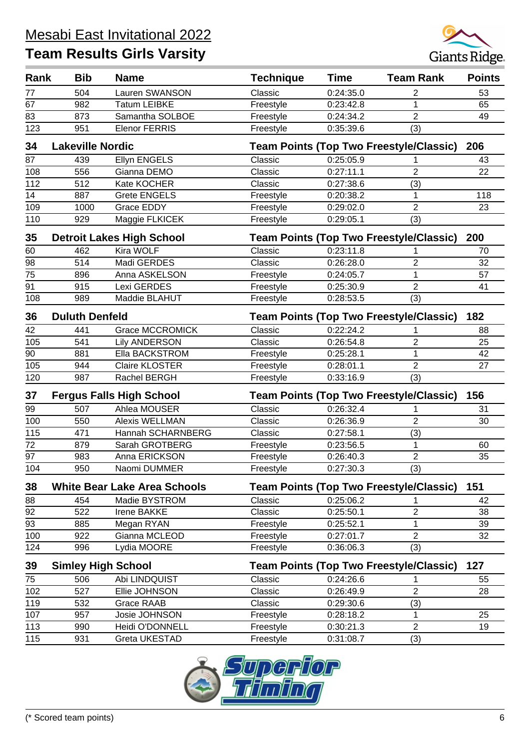

| Rank | <b>Bib</b>                | <b>Name</b>                         | <b>Technique</b>                               | <b>Time</b> | <b>Team Rank</b>                               | <b>Points</b> |
|------|---------------------------|-------------------------------------|------------------------------------------------|-------------|------------------------------------------------|---------------|
| 77   | 504                       | Lauren SWANSON                      | Classic                                        | 0:24:35.0   | 2                                              | 53            |
| 67   | 982                       | <b>Tatum LEIBKE</b>                 | Freestyle                                      | 0:23:42.8   | 1                                              | 65            |
| 83   | 873                       | Samantha SOLBOE                     | Freestyle                                      | 0:24:34.2   | $\overline{2}$                                 | 49            |
| 123  | 951                       | <b>Elenor FERRIS</b>                | Freestyle                                      | 0:35:39.6   | (3)                                            |               |
| 34   | <b>Lakeville Nordic</b>   |                                     |                                                |             | <b>Team Points (Top Two Freestyle/Classic)</b> | 206           |
| 87   | 439                       | <b>Ellyn ENGELS</b>                 | Classic                                        | 0:25:05.9   |                                                | 43            |
| 108  | 556                       | Gianna DEMO                         | Classic                                        | 0:27:11.1   | $\overline{2}$                                 | 22            |
| 112  | 512                       | Kate KOCHER                         | Classic                                        | 0:27:38.6   | (3)                                            |               |
| 14   | 887                       | <b>Grete ENGELS</b>                 | Freestyle                                      | 0:20:38.2   | 1                                              | 118           |
| 109  | 1000                      | <b>Grace EDDY</b>                   | Freestyle                                      | 0:29:02.0   | $\overline{2}$                                 | 23            |
| 110  | 929                       | Maggie FLKICEK                      | Freestyle                                      | 0:29:05.1   | (3)                                            |               |
| 35   |                           | <b>Detroit Lakes High School</b>    |                                                |             | <b>Team Points (Top Two Freestyle/Classic)</b> | 200           |
| 60   | 462                       | Kira WOLF                           | Classic                                        | 0:23:11.8   | 1                                              | 70            |
| 98   | 514                       | Madi GERDES                         | Classic                                        | 0:26:28.0   | 2                                              | 32            |
| 75   | 896                       | Anna ASKELSON                       | Freestyle                                      | 0:24:05.7   | 1                                              | 57            |
| 91   | 915                       | Lexi GERDES                         | Freestyle                                      | 0:25:30.9   | $\overline{2}$                                 | 41            |
| 108  | 989                       | Maddie BLAHUT                       | Freestyle                                      | 0:28:53.5   | (3)                                            |               |
| 36   | <b>Duluth Denfeld</b>     |                                     | <b>Team Points (Top Two Freestyle/Classic)</b> | 182         |                                                |               |
| 42   | 441                       | <b>Grace MCCROMICK</b>              | Classic                                        | 0:22:24.2   | 1                                              | 88            |
| 105  | 541                       | <b>Lily ANDERSON</b>                | Classic                                        | 0:26:54.8   | 2                                              | 25            |
| 90   | 881                       | Ella BACKSTROM                      | Freestyle                                      | 0:25:28.1   | 1                                              | 42            |
| 105  | 944                       | <b>Claire KLOSTER</b>               | Freestyle                                      | 0:28:01.1   | $\overline{2}$                                 | 27            |
| 120  | 987                       | Rachel BERGH                        | Freestyle                                      | 0:33:16.9   | (3)                                            |               |
| 37   |                           | <b>Fergus Falls High School</b>     |                                                |             | <b>Team Points (Top Two Freestyle/Classic)</b> | 156           |
| 99   | 507                       | Ahlea MOUSER                        | Classic                                        | 0:26:32.4   |                                                | 31            |
| 100  | 550                       | <b>Alexis WELLMAN</b>               | Classic                                        | 0:26:36.9   | $\overline{2}$                                 | 30            |
| 115  | 471                       | Hannah SCHARNBERG                   | Classic                                        | 0:27:58.1   | (3)                                            |               |
| 72   | 879                       | Sarah GROTBERG                      | Freestyle                                      | 0:23:56.5   | 1                                              | 60            |
| 97   | 983                       | Anna ERICKSON                       | Freestyle                                      | 0:26:40.3   | 2                                              | 35            |
| 104  | $\overline{950}$          | Naomi DUMMER                        | Freestyle                                      | 0:27:30.3   | $\overline{(3)}$                               |               |
| 38   |                           | <b>White Bear Lake Area Schools</b> |                                                |             | <b>Team Points (Top Two Freestyle/Classic)</b> | 151           |
| 88   | 454                       | Madie BYSTROM                       | Classic                                        | 0:25:06.2   | 1                                              | 42            |
| 92   | 522                       | <b>Irene BAKKE</b>                  | Classic                                        | 0:25:50.1   | $\overline{2}$                                 | 38            |
| 93   | 885                       | Megan RYAN                          | Freestyle                                      | 0:25:52.1   | 1                                              | 39            |
| 100  | 922                       | Gianna MCLEOD                       | Freestyle                                      | 0:27:01.7   | $\overline{2}$                                 | 32            |
| 124  | 996                       | Lydia MOORE                         | Freestyle                                      | 0:36:06.3   | (3)                                            |               |
| 39   | <b>Simley High School</b> |                                     |                                                |             | <b>Team Points (Top Two Freestyle/Classic)</b> | 127           |
| 75   | 506                       | Abi LINDQUIST                       | Classic                                        | 0:24:26.6   |                                                | 55            |
| 102  | 527                       | Ellie JOHNSON                       | Classic                                        | 0:26:49.9   | $\overline{c}$                                 | 28            |
| 119  | 532                       | <b>Grace RAAB</b>                   | Classic                                        | 0:29:30.6   | (3)                                            |               |
| 107  | 957                       | Josie JOHNSON                       | Freestyle                                      | 0:28:18.2   | 1                                              | 25            |
| 113  | 990                       | Heidi O'DONNELL                     | Freestyle                                      | 0:30:21.3   | $\overline{2}$                                 | 19            |
| 115  | 931                       | Greta UKESTAD                       | Freestyle                                      | 0:31:08.7   | (3)                                            |               |

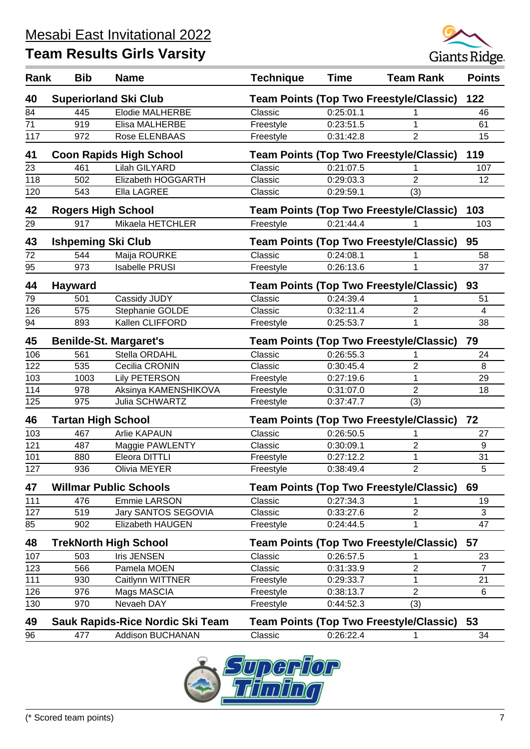

| Rank | <b>Bib</b>                | <b>Name</b>                      | <b>Technique</b>                               | <b>Time</b> | <b>Team Rank</b>                               | <b>Points</b>           |
|------|---------------------------|----------------------------------|------------------------------------------------|-------------|------------------------------------------------|-------------------------|
| 40   |                           | <b>Superiorland Ski Club</b>     |                                                |             | <b>Team Points (Top Two Freestyle/Classic)</b> | 122                     |
| 84   | 445                       | <b>Elodie MALHERBE</b>           | Classic                                        | 0:25:01.1   |                                                | 46                      |
| 71   | 919                       | Elisa MALHERBE                   | Freestyle                                      | 0:23:51.5   | 1                                              | 61                      |
| 117  | 972                       | Rose ELENBAAS                    | Freestyle                                      | 0:31:42.8   | $\overline{2}$                                 | 15                      |
| 41   |                           | <b>Coon Rapids High School</b>   |                                                |             | <b>Team Points (Top Two Freestyle/Classic)</b> | 119                     |
| 23   | 461                       | <b>Lilah GILYARD</b>             | Classic                                        | 0:21:07.5   |                                                | 107                     |
| 118  | 502                       | Elizabeth HOGGARTH               | Classic                                        | 0:29:03.3   | $\overline{2}$                                 | 12                      |
| 120  | 543                       | Ella LAGREE                      | Classic                                        | 0:29:59.1   | (3)                                            |                         |
| 42   | <b>Rogers High School</b> |                                  |                                                |             | <b>Team Points (Top Two Freestyle/Classic)</b> | 103                     |
| 29   | 917                       | Mikaela HETCHLER                 | Freestyle                                      | 0:21:44.4   |                                                | 103                     |
| 43   | <b>Ishpeming Ski Club</b> |                                  |                                                |             | <b>Team Points (Top Two Freestyle/Classic)</b> | 95                      |
| 72   | 544                       | Maija ROURKE                     | Classic                                        | 0:24:08.1   | 1                                              | 58                      |
| 95   | 973                       | <b>Isabelle PRUSI</b>            | Freestyle                                      | 0:26:13.6   | 1                                              | 37                      |
| 44   | <b>Hayward</b>            |                                  |                                                |             | <b>Team Points (Top Two Freestyle/Classic)</b> | 93                      |
| 79   | 501                       | Cassidy JUDY                     | Classic                                        | 0:24:39.4   | 1                                              | 51                      |
| 126  | 575                       | Stephanie GOLDE                  | Classic                                        | 0:32:11.4   | 2                                              | $\overline{\mathbf{4}}$ |
| 94   | 893                       | Kallen CLIFFORD                  | Freestyle                                      | 0:25:53.7   | 1                                              | 38                      |
| 45   |                           | <b>Benilde-St. Margaret's</b>    |                                                |             | <b>Team Points (Top Two Freestyle/Classic)</b> | 79                      |
| 106  | 561                       | Stella ORDAHL                    | Classic                                        | 0:26:55.3   | 1                                              | 24                      |
| 122  | 535                       | Cecilia CRONIN                   | Classic                                        | 0:30:45.4   | 2                                              | 8                       |
| 103  | 1003                      | <b>Lily PETERSON</b>             | Freestyle                                      | 0:27:19.6   | 1                                              | 29                      |
| 114  | 978                       | Aksinya KAMENSHIKOVA             | Freestyle                                      | 0:31:07.0   | $\overline{2}$                                 | 18                      |
| 125  | 975                       | Julia SCHWARTZ                   | Freestyle                                      | 0:37:47.7   | (3)                                            |                         |
| 46   | <b>Tartan High School</b> |                                  | <b>Team Points (Top Two Freestyle/Classic)</b> |             |                                                | 72                      |
| 103  | 467                       | <b>Arlie KAPAUN</b>              | Classic                                        | 0:26:50.5   | 1                                              | 27                      |
| 121  | 487                       | Maggie PAWLENTY                  | Classic                                        | 0:30:09.1   | 2                                              | 9                       |
| 101  | 880                       | Eleora DITTLI                    | Freestyle                                      | 0:27:12.2   | 1                                              | 31                      |
| 127  | 936                       | Olivia MEYER                     | Freestyle                                      | 0:38:49.4   | 2                                              | 5                       |
| 47   |                           | <b>Willmar Public Schools</b>    |                                                |             | <b>Team Points (Top Two Freestyle/Classic)</b> | 69                      |
| 111  | 476                       | Emmie LARSON                     | Classic                                        | 0:27:34.3   | 1                                              | 19                      |
| 127  | 519                       | Jary SANTOS SEGOVIA              | Classic                                        | 0:33:27.6   | 2                                              | 3                       |
| 85   | 902                       | <b>Elizabeth HAUGEN</b>          | Freestyle                                      | 0:24:44.5   | 1                                              | 47                      |
| 48   |                           | <b>TrekNorth High School</b>     |                                                |             | Team Points (Top Two Freestyle/Classic)        | 57                      |
| 107  | 503                       | Iris JENSEN                      | Classic                                        | 0:26:57.5   |                                                | 23                      |
| 123  | 566                       | Pamela MOEN                      | Classic                                        | 0:31:33.9   | $\overline{2}$                                 | $\overline{7}$          |
| 111  | 930                       | Caitlynn WITTNER                 | Freestyle                                      | 0:29:33.7   | 1                                              | 21                      |
| 126  | 976                       | Mags MASCIA                      | Freestyle                                      | 0:38:13.7   | 2                                              | 6                       |
| 130  | 970                       | Nevaeh DAY                       | Freestyle                                      | 0:44:52.3   | (3)                                            |                         |
| 49   |                           | Sauk Rapids-Rice Nordic Ski Team |                                                |             | <b>Team Points (Top Two Freestyle/Classic)</b> | 53                      |
| 96   | 477                       | <b>Addison BUCHANAN</b>          | Classic                                        | 0:26:22.4   | 1                                              | 34                      |